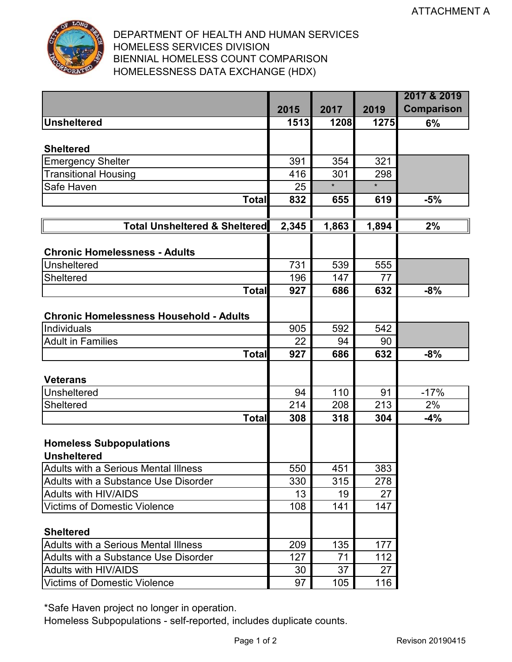

## DEPARTMENT OF HEALTH AND HUMAN SERVICES HOMELESS SERVICES DIVISION BIENNIAL HOMELESS COUNT COMPARISON HOMELESSNESS DATA EXCHANGE (HDX)

|                                                |       |         |                    | 2017 & 2019       |
|------------------------------------------------|-------|---------|--------------------|-------------------|
|                                                | 2015  | 2017    | 2019               | <b>Comparison</b> |
| <b>Unsheltered</b>                             | 1513  | 1208    | 1275               | 6%                |
|                                                |       |         |                    |                   |
| <b>Sheltered</b>                               |       |         |                    |                   |
| <b>Emergency Shelter</b>                       | 391   | 354     | 321                |                   |
| Transitional Housing                           | 416   | 301     | 298                |                   |
| Safe Haven                                     | 25    | $\star$ | $\star$            |                   |
| <b>Total</b>                                   | 832   | 655     | 619                | $-5%$             |
|                                                |       |         |                    |                   |
| <b>Total Unsheltered &amp; Sheltered</b>       | 2,345 | 1,863   | $\overline{1,894}$ | 2%                |
|                                                |       |         |                    |                   |
| <b>Chronic Homelessness - Adults</b>           |       |         |                    |                   |
| Unsheltered                                    | 731   | 539     | 555                |                   |
| <b>Sheltered</b>                               | 196   | 147     | 77                 |                   |
| Total                                          | 927   | 686     | 632                | $-8%$             |
|                                                |       |         |                    |                   |
| <b>Chronic Homelessness Household - Adults</b> |       |         |                    |                   |
| Individuals                                    | 905   | 592     | 542                |                   |
| <b>Adult in Families</b>                       | 22    | 94      | 90                 |                   |
| <b>Total</b>                                   | 927   | 686     | 632                | $-8%$             |
|                                                |       |         |                    |                   |
| <b>Veterans</b>                                |       |         |                    |                   |
| <b>Unsheltered</b>                             | 94    | 110     | 91                 | $-17%$            |
| <b>Sheltered</b>                               | 214   | 208     | 213                | 2%                |
| <b>Total</b>                                   | 308   | 318     | 304                | $-4%$             |
|                                                |       |         |                    |                   |
| <b>Homeless Subpopulations</b>                 |       |         |                    |                   |
| <b>Unsheltered</b>                             |       |         |                    |                   |
| <b>Adults with a Serious Mental Illness</b>    | 550   | 451     | 383                |                   |
| Adults with a Substance Use Disorder           | 330   | 315     | 278                |                   |
| <b>Adults with HIV/AIDS</b>                    | 13    | 19      | 27                 |                   |
| <b>Victims of Domestic Violence</b>            | 108   | 141     | 147                |                   |
|                                                |       |         |                    |                   |
| <b>Sheltered</b>                               |       |         |                    |                   |
| Adults with a Serious Mental Illness           | 209   | 135     | 177                |                   |
| Adults with a Substance Use Disorder           | 127   | 71      | 112                |                   |
| <b>Adults with HIV/AIDS</b>                    | 30    | 37      | 27                 |                   |
| <b>Victims of Domestic Violence</b>            | 97    | 105     | 116                |                   |

\*Safe Haven project no longer in operation.

Homeless Subpopulations - self-reported, includes duplicate counts.